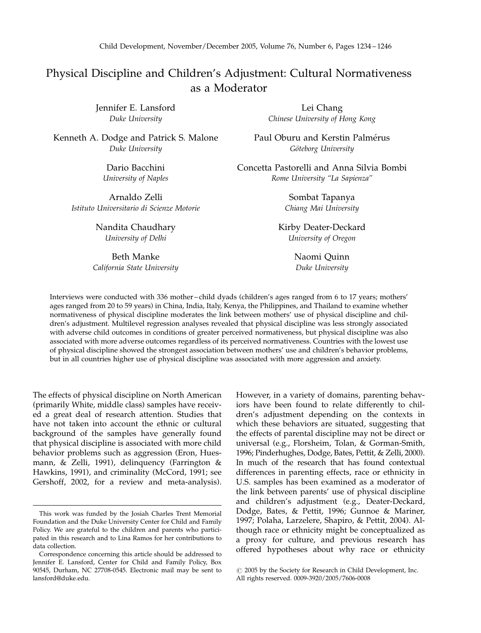# Physical Discipline and Children's Adjustment: Cultural Normativeness as a Moderator

Jennifer E. Lansford Duke University

Kenneth A. Dodge and Patrick S. Malone Duke University

> Dario Bacchini University of Naples

Arnaldo Zelli Istituto Universitario di Scienze Motorie

> Nandita Chaudhary University of Delhi

Beth Manke California State University

Lei Chang Chinese University of Hong Kong

Paul Oburu and Kerstin Palmérus Göteborg University

Concetta Pastorelli and Anna Silvia Bombi Rome University ''La Sapienza''

> Sombat Tapanya Chiang Mai University

Kirby Deater-Deckard University of Oregon

> Naomi Quinn Duke University

Interviews were conducted with 336 mother – child dyads (children's ages ranged from 6 to 17 years; mothers' ages ranged from 20 to 59 years) in China, India, Italy, Kenya, the Philippines, and Thailand to examine whether normativeness of physical discipline moderates the link between mothers' use of physical discipline and children's adjustment. Multilevel regression analyses revealed that physical discipline was less strongly associated with adverse child outcomes in conditions of greater perceived normativeness, but physical discipline was also associated with more adverse outcomes regardless of its perceived normativeness. Countries with the lowest use of physical discipline showed the strongest association between mothers' use and children's behavior problems, but in all countries higher use of physical discipline was associated with more aggression and anxiety.

The effects of physical discipline on North American (primarily White, middle class) samples have received a great deal of research attention. Studies that have not taken into account the ethnic or cultural background of the samples have generally found that physical discipline is associated with more child behavior problems such as aggression (Eron, Huesmann, & Zelli, 1991), delinquency (Farrington & Hawkins, 1991), and criminality (McCord, 1991; see Gershoff, 2002, for a review and meta-analysis).

However, in a variety of domains, parenting behaviors have been found to relate differently to children's adjustment depending on the contexts in which these behaviors are situated, suggesting that the effects of parental discipline may not be direct or universal (e.g., Florsheim, Tolan, & Gorman-Smith, 1996; Pinderhughes, Dodge, Bates, Pettit, & Zelli, 2000). In much of the research that has found contextual differences in parenting effects, race or ethnicity in U.S. samples has been examined as a moderator of the link between parents' use of physical discipline and children's adjustment (e.g., Deater-Deckard, Dodge, Bates, & Pettit, 1996; Gunnoe & Mariner, 1997; Polaha, Larzelere, Shapiro, & Pettit, 2004). Although race or ethnicity might be conceptualized as a proxy for culture, and previous research has offered hypotheses about why race or ethnicity

This work was funded by the Josiah Charles Trent Memorial Foundation and the Duke University Center for Child and Family Policy. We are grateful to the children and parents who participated in this research and to Lina Ramos for her contributions to data collection.

Correspondence concerning this article should be addressed to Jennifer E. Lansford, Center for Child and Family Policy, Box 90545, Durham, NC 27708-0545. Electronic mail may be sent to lansford@duke.edu.

 $C$  2005 by the Society for Research in Child Development, Inc.

All rights reserved. 0009-3920/2005/7606-0008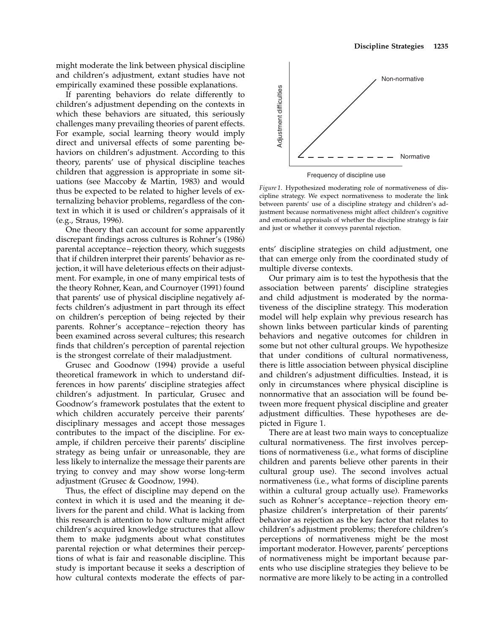might moderate the link between physical discipline and children's adjustment, extant studies have not empirically examined these possible explanations.

If parenting behaviors do relate differently to children's adjustment depending on the contexts in which these behaviors are situated, this seriously challenges many prevailing theories of parent effects. For example, social learning theory would imply direct and universal effects of some parenting behaviors on children's adjustment. According to this theory, parents' use of physical discipline teaches children that aggression is appropriate in some situations (see Maccoby & Martin, 1983) and would thus be expected to be related to higher levels of externalizing behavior problems, regardless of the context in which it is used or children's appraisals of it (e.g., Straus, 1996).

One theory that can account for some apparently discrepant findings across cultures is Rohner's (1986) parental acceptance – rejection theory, which suggests that if children interpret their parents' behavior as rejection, it will have deleterious effects on their adjustment. For example, in one of many empirical tests of the theory Rohner, Kean, and Cournoyer (1991) found that parents' use of physical discipline negatively affects children's adjustment in part through its effect on children's perception of being rejected by their parents. Rohner's acceptance – rejection theory has been examined across several cultures; this research finds that children's perception of parental rejection is the strongest correlate of their maladjustment.

Grusec and Goodnow (1994) provide a useful theoretical framework in which to understand differences in how parents' discipline strategies affect children's adjustment. In particular, Grusec and Goodnow's framework postulates that the extent to which children accurately perceive their parents' disciplinary messages and accept those messages contributes to the impact of the discipline. For example, if children perceive their parents' discipline strategy as being unfair or unreasonable, they are less likely to internalize the message their parents are trying to convey and may show worse long-term adjustment (Grusec & Goodnow, 1994).

Thus, the effect of discipline may depend on the context in which it is used and the meaning it delivers for the parent and child. What is lacking from this research is attention to how culture might affect children's acquired knowledge structures that allow them to make judgments about what constitutes parental rejection or what determines their perceptions of what is fair and reasonable discipline. This study is important because it seeks a description of how cultural contexts moderate the effects of par-



Frequency of discipline use

Figure 1. Hypothesized moderating role of normativeness of discipline strategy. We expect normativeness to moderate the link between parents' use of a discipline strategy and children's adjustment because normativeness might affect children's cognitive and emotional appraisals of whether the discipline strategy is fair and just or whether it conveys parental rejection.

ents' discipline strategies on child adjustment, one that can emerge only from the coordinated study of multiple diverse contexts.

Our primary aim is to test the hypothesis that the association between parents' discipline strategies and child adjustment is moderated by the normativeness of the discipline strategy. This moderation model will help explain why previous research has shown links between particular kinds of parenting behaviors and negative outcomes for children in some but not other cultural groups. We hypothesize that under conditions of cultural normativeness, there is little association between physical discipline and children's adjustment difficulties. Instead, it is only in circumstances where physical discipline is nonnormative that an association will be found between more frequent physical discipline and greater adjustment difficulties. These hypotheses are depicted in Figure 1. normative from the more interesting that the more interesting that the more different and more different and the more are more interesting to a discriment state of a discrimentative and the substment because normativeness

There are at least two main ways to conceptualize cultural normativeness. The first involves perceptions of normativeness (i.e., what forms of discipline children and parents believe other parents in their cultural group use). The second involves actual normativeness (i.e., what forms of discipline parents within a cultural group actually use). Frameworks such as Rohner's acceptance – rejection theory emphasize children's interpretation of their parents' behavior as rejection as the key factor that relates to children's adjustment problems; therefore children's perceptions of normativeness might be the most important moderator. However, parents' perceptions of normativeness might be important because parents who use discipline strategies they believe to be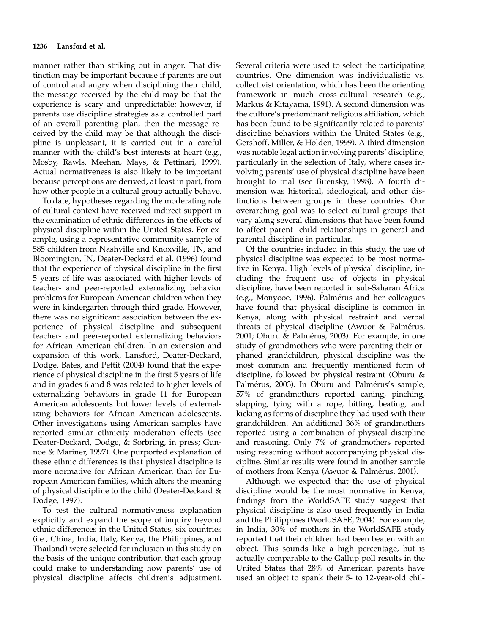manner rather than striking out in anger. That distinction may be important because if parents are out of control and angry when disciplining their child, the message received by the child may be that the experience is scary and unpredictable; however, if parents use discipline strategies as a controlled part of an overall parenting plan, then the message received by the child may be that although the discipline is unpleasant, it is carried out in a careful manner with the child's best interests at heart (e.g., Mosby, Rawls, Meehan, Mays, & Pettinari, 1999). Actual normativeness is also likely to be important because perceptions are derived, at least in part, from how other people in a cultural group actually behave.

To date, hypotheses regarding the moderating role of cultural context have received indirect support in the examination of ethnic differences in the effects of physical discipline within the United States. For example, using a representative community sample of 585 children from Nashville and Knoxville, TN, and Bloomington, IN, Deater-Deckard et al. (1996) found that the experience of physical discipline in the first 5 years of life was associated with higher levels of teacher- and peer-reported externalizing behavior problems for European American children when they were in kindergarten through third grade. However, there was no significant association between the experience of physical discipline and subsequent teacher- and peer-reported externalizing behaviors for African American children. In an extension and expansion of this work, Lansford, Deater-Deckard, Dodge, Bates, and Pettit (2004) found that the experience of physical discipline in the first 5 years of life and in grades 6 and 8 was related to higher levels of externalizing behaviors in grade 11 for European American adolescents but lower levels of externalizing behaviors for African American adolescents. Other investigations using American samples have reported similar ethnicity moderation effects (see Deater-Deckard, Dodge, & Sorbring, in press; Gunnoe & Mariner, 1997). One purported explanation of these ethnic differences is that physical discipline is more normative for African American than for European American families, which alters the meaning of physical discipline to the child (Deater-Deckard & Dodge, 1997).

To test the cultural normativeness explanation explicitly and expand the scope of inquiry beyond ethnic differences in the United States, six countries (i.e., China, India, Italy, Kenya, the Philippines, and Thailand) were selected for inclusion in this study on the basis of the unique contribution that each group could make to understanding how parents' use of physical discipline affects children's adjustment.

Several criteria were used to select the participating countries. One dimension was individualistic vs. collectivist orientation, which has been the orienting framework in much cross-cultural research (e.g., Markus & Kitayama, 1991). A second dimension was the culture's predominant religious affiliation, which has been found to be significantly related to parents' discipline behaviors within the United States (e.g., Gershoff, Miller, & Holden, 1999). A third dimension was notable legal action involving parents' discipline, particularly in the selection of Italy, where cases involving parents' use of physical discipline have been brought to trial (see Bitensky, 1998). A fourth dimension was historical, ideological, and other distinctions between groups in these countries. Our overarching goal was to select cultural groups that vary along several dimensions that have been found to affect parent – child relationships in general and parental discipline in particular.

Of the countries included in this study, the use of physical discipline was expected to be most normative in Kenya. High levels of physical discipline, including the frequent use of objects in physical discipline, have been reported in sub-Saharan Africa (e.g., Monyooe, 1996). Palmérus and her colleagues have found that physical discipline is common in Kenya, along with physical restraint and verbal threats of physical discipline (Awuor  $\&$  Palmérus, 2001; Oburu & Palmérus, 2003). For example, in one study of grandmothers who were parenting their orphaned grandchildren, physical discipline was the most common and frequently mentioned form of discipline, followed by physical restraint (Oburu & Palmérus, 2003). In Oburu and Palmérus's sample, 57% of grandmothers reported caning, pinching, slapping, tying with a rope, hitting, beating, and kicking as forms of discipline they had used with their grandchildren. An additional 36% of grandmothers reported using a combination of physical discipline and reasoning. Only 7% of grandmothers reported using reasoning without accompanying physical discipline. Similar results were found in another sample of mothers from Kenya (Awuor & Palmérus, 2001).

Although we expected that the use of physical discipline would be the most normative in Kenya, findings from the WorldSAFE study suggest that physical discipline is also used frequently in India and the Philippines (WorldSAFE, 2004). For example, in India, 30% of mothers in the WorldSAFE study reported that their children had been beaten with an object. This sounds like a high percentage, but is actually comparable to the Gallup poll results in the United States that 28% of American parents have used an object to spank their 5- to 12-year-old chil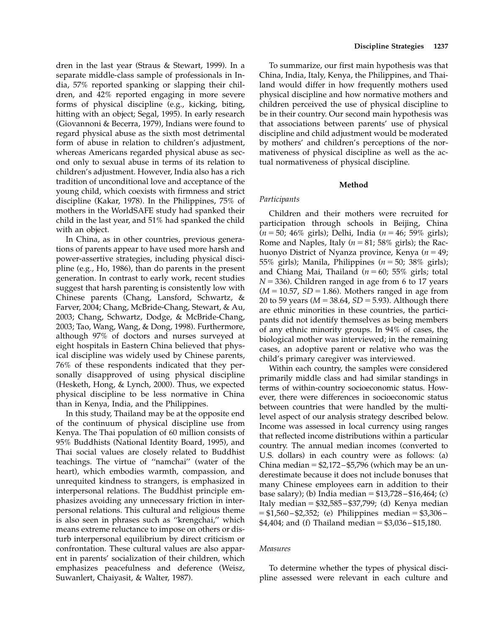dren in the last year (Straus & Stewart, 1999). In a separate middle-class sample of professionals in India, 57% reported spanking or slapping their children, and 42% reported engaging in more severe forms of physical discipline (e.g., kicking, biting, hitting with an object; Segal, 1995). In early research (Giovannoni & Becerra, 1979), Indians were found to regard physical abuse as the sixth most detrimental form of abuse in relation to children's adjustment, whereas Americans regarded physical abuse as second only to sexual abuse in terms of its relation to children's adjustment. However, India also has a rich tradition of unconditional love and acceptance of the young child, which coexists with firmness and strict discipline (Kakar, 1978). In the Philippines, 75% of mothers in the WorldSAFE study had spanked their child in the last year, and 51% had spanked the child with an object.

In China, as in other countries, previous generations of parents appear to have used more harsh and power-assertive strategies, including physical discipline (e.g., Ho, 1986), than do parents in the present generation. In contrast to early work, recent studies suggest that harsh parenting is consistently low with Chinese parents (Chang, Lansford, Schwartz, & Farver, 2004; Chang, McBride-Chang, Stewart, & Au, 2003; Chang, Schwartz, Dodge, & McBride-Chang, 2003; Tao, Wang, Wang, & Dong, 1998). Furthermore, although 97% of doctors and nurses surveyed at eight hospitals in Eastern China believed that physical discipline was widely used by Chinese parents, 76% of these respondents indicated that they personally disapproved of using physical discipline (Hesketh, Hong, & Lynch, 2000). Thus, we expected physical discipline to be less normative in China than in Kenya, India, and the Philippines.

In this study, Thailand may be at the opposite end of the continuum of physical discipline use from Kenya. The Thai population of 60 million consists of 95% Buddhists (National Identity Board, 1995), and Thai social values are closely related to Buddhist teachings. The virtue of ''namchai'' (water of the heart), which embodies warmth, compassion, and unrequited kindness to strangers, is emphasized in interpersonal relations. The Buddhist principle emphasizes avoiding any unnecessary friction in interpersonal relations. This cultural and religious theme is also seen in phrases such as ''krengchai,'' which means extreme reluctance to impose on others or disturb interpersonal equilibrium by direct criticism or confrontation. These cultural values are also apparent in parents' socialization of their children, which emphasizes peacefulness and deference (Weisz, Suwanlert, Chaiyasit, & Walter, 1987).

To summarize, our first main hypothesis was that China, India, Italy, Kenya, the Philippines, and Thailand would differ in how frequently mothers used physical discipline and how normative mothers and children perceived the use of physical discipline to be in their country. Our second main hypothesis was that associations between parents' use of physical discipline and child adjustment would be moderated by mothers' and children's perceptions of the normativeness of physical discipline as well as the actual normativeness of physical discipline.

## Method

# Participants

Children and their mothers were recruited for participation through schools in Beijing, China  $(n = 50; 46\% \text{ girls})$ ; Delhi, India  $(n = 46; 59\% \text{ girls})$ ; Rome and Naples, Italy  $(n = 81; 58\% \text{ girls})$ ; the Rachuonyo District of Nyanza province, Kenya ( $n = 49$ ; 55% girls); Manila, Philippines ( $n = 50$ ; 38% girls); and Chiang Mai, Thailand ( $n = 60$ ; 55% girls; total  $N = 336$ ). Children ranged in age from 6 to 17 years  $(M = 10.57, SD = 1.86)$ . Mothers ranged in age from 20 to 59 years ( $M = 38.64$ ,  $SD = 5.93$ ). Although there are ethnic minorities in these countries, the participants did not identify themselves as being members of any ethnic minority groups. In 94% of cases, the biological mother was interviewed; in the remaining cases, an adoptive parent or relative who was the child's primary caregiver was interviewed.

Within each country, the samples were considered primarily middle class and had similar standings in terms of within-country socioeconomic status. However, there were differences in socioeconomic status between countries that were handled by the multilevel aspect of our analysis strategy described below. Income was assessed in local currency using ranges that reflected income distributions within a particular country. The annual median incomes (converted to U.S. dollars) in each country were as follows: (a) China median =  $$2,172 - $5,796$  (which may be an underestimate because it does not include bonuses that many Chinese employees earn in addition to their base salary); (b) India median =  $$13,728 - $16,464$ ; (c) Italy median  $= $32,585 - $37,799$ ; (d) Kenya median  $= $1,560 - $2,352;$  (e) Philippines median  $= $3,306 $4,404$ ; and (f) Thailand median =  $$3,036 - $15,180$ .

## Measures

To determine whether the types of physical discipline assessed were relevant in each culture and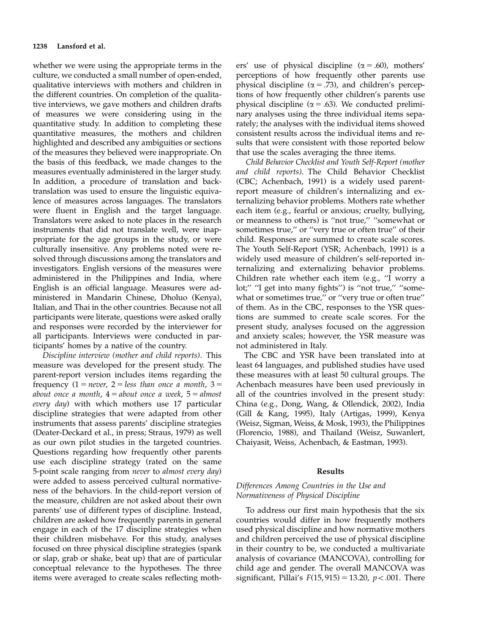whether we were using the appropriate terms in the culture, we conducted a small number of open-ended, qualitative interviews with mothers and children in the different countries. On completion of the qualitative interviews, we gave mothers and children drafts of measures we were considering using in the quantitative study. In addition to completing these quantitative measures, the mothers and children highlighted and described any ambiguities or sections of the measures they believed were inappropriate. On the basis of this feedback, we made changes to the measures eventually administered in the larger study. In addition, a procedure of translation and backtranslation was used to ensure the linguistic equivalence of measures across languages. The translators were fluent in English and the target language. Translators were asked to note places in the research instruments that did not translate well, were inappropriate for the age groups in the study, or were culturally insensitive. Any problems noted were resolved through discussions among the translators and investigators. English versions of the measures were administered in the Philippines and India, where English is an official language. Measures were administered in Mandarin Chinese, Dholuo (Kenya), Italian, and Thai in the other countries. Because not all participants were literate, questions were asked orally and responses were recorded by the interviewer for all participants. Interviews were conducted in participants' homes by a native of the country.

Discipline interview (mother and child reports). This measure was developed for the present study. The parent-report version includes items regarding the frequency  $(1 = never, 2 = less than once a month, 3 =$ about once a month,  $4 =$  about once a week,  $5 =$  almost every day) with which mothers use 17 particular discipline strategies that were adapted from other instruments that assess parents' discipline strategies (Deater-Deckard et al., in press; Straus, 1979) as well as our own pilot studies in the targeted countries. Questions regarding how frequently other parents use each discipline strategy (rated on the same 5-point scale ranging from never to almost every day) were added to assess perceived cultural normativeness of the behaviors. In the child-report version of the measure, children are not asked about their own parents' use of different types of discipline. Instead, children are asked how frequently parents in general engage in each of the 17 discipline strategies when their children misbehave. For this study, analyses focused on three physical discipline strategies (spank or slap, grab or shake, beat up) that are of particular conceptual relevance to the hypotheses. The three items were averaged to create scales reflecting mothers' use of physical discipline  $(\alpha = .60)$ , mothers' perceptions of how frequently other parents use physical discipline ( $\alpha$  = .73), and children's perceptions of how frequently other children's parents use physical discipline ( $\alpha = .63$ ). We conducted preliminary analyses using the three individual items separately; the analyses with the individual items showed consistent results across the individual items and results that were consistent with those reported below that use the scales averaging the three items.

Child Behavior Checklist and Youth Self-Report (mother and child reports). The Child Behavior Checklist (CBC; Achenbach, 1991) is a widely used parentreport measure of children's internalizing and externalizing behavior problems. Mothers rate whether each item (e.g., fearful or anxious; cruelty, bullying, or meanness to others) is ''not true,'' ''somewhat or sometimes true,'' or ''very true or often true'' of their child. Responses are summed to create scale scores. The Youth Self-Report (YSR; Achenbach, 1991) is a widely used measure of children's self-reported internalizing and externalizing behavior problems. Children rate whether each item (e.g., ''I worry a lot;" "I get into many fights") is "not true," "somewhat or sometimes true," or "very true or often true" of them. As in the CBC, responses to the YSR questions are summed to create scale scores. For the present study, analyses focused on the aggression and anxiety scales; however, the YSR measure was not administered in Italy.

The CBC and YSR have been translated into at least 64 languages, and published studies have used these measures with at least 50 cultural groups. The Achenbach measures have been used previously in all of the countries involved in the present study: China (e.g., Dong, Wang, & Ollendick, 2002), India (Gill & Kang, 1995), Italy (Artigas, 1999), Kenya (Weisz, Sigman, Weiss, & Mosk, 1993), the Philippines (Florencio, 1988), and Thailand (Weisz, Suwanlert, Chaiyasit, Weiss, Achenbach, & Eastman, 1993).

#### Results

# Differences Among Countries in the Use and Normativeness of Physical Discipline

To address our first main hypothesis that the six countries would differ in how frequently mothers used physical discipline and how normative mothers and children perceived the use of physical discipline in their country to be, we conducted a multivariate analysis of covariance (MANCOVA), controlling for child age and gender. The overall MANCOVA was significant, Pillai's  $F(15, 915) = 13.20$ ,  $p < .001$ . There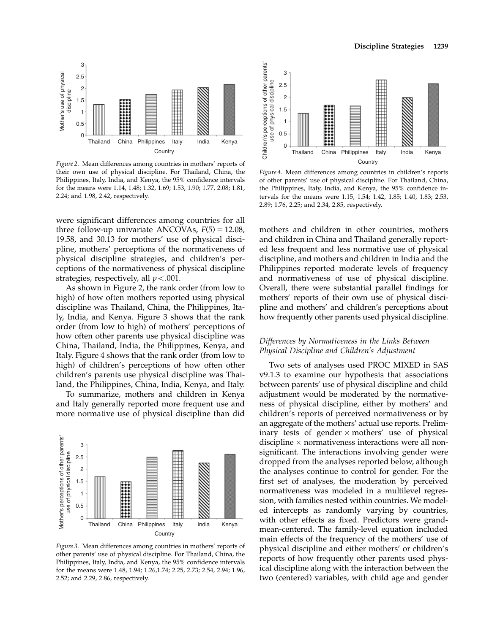

Figure 2. Mean differences among countries in mothers' reports of their own use of physical discipline. For Thailand, China, the Philippines, Italy, India, and Kenya, the 95% confidence intervals for the means were 1.14, 1.48; 1.32, 1.69; 1.53, 1.90; 1.77, 2.08; 1.81, 2.24; and 1.98, 2.42, respectively.

were significant differences among countries for all three follow-up univariate ANCOVAs,  $F(5) = 12.08$ , 19.58, and 30.13 for mothers' use of physical discipline, mothers' perceptions of the normativeness of physical discipline strategies, and children's perceptions of the normativeness of physical discipline strategies, respectively, all  $p < .001$ .

As shown in Figure 2, the rank order (from low to high) of how often mothers reported using physical discipline was Thailand, China, the Philippines, Italy, India, and Kenya. Figure 3 shows that the rank order (from low to high) of mothers' perceptions of how often other parents use physical discipline was China, Thailand, India, the Philippines, Kenya, and Italy. Figure 4 shows that the rank order (from low to high) of children's perceptions of how often other children's parents use physical discipline was Thailand, the Philippines, China, India, Kenya, and Italy.

To summarize, mothers and children in Kenya and Italy generally reported more frequent use and more normative use of physical discipline than did



Figure 3. Mean differences among countries in mothers' reports of other parents' use of physical discipline. For Thailand, China, the Philippines, Italy, India, and Kenya, the 95% confidence intervals for the means were 1.48, 1.94; 1.26,1.74; 2.25, 2.73; 2.54, 2.94; 1.96, 2.52; and 2.29, 2.86, respectively.



Figure 4. Mean differences among countries in children's reports of other parents' use of physical discipline. For Thailand, China, the Philippines, Italy, India, and Kenya, the 95% confidence intervals for the means were 1.15, 1.54; 1.42, 1.85; 1.40, 1.83; 2.53, 2.89; 1.76, 2.25; and 2.34, 2.85, respectively.

mothers and children in other countries, mothers and children in China and Thailand generally reported less frequent and less normative use of physical discipline, and mothers and children in India and the Philippines reported moderate levels of frequency and normativeness of use of physical discipline. Overall, there were substantial parallel findings for mothers' reports of their own use of physical discipline and mothers' and children's perceptions about how frequently other parents used physical discipline.

# Differences by Normativeness in the Links Between Physical Discipline and Children's Adjustment

Two sets of analyses used PROC MIXED in SAS v9.1.3 to examine our hypothesis that associations between parents' use of physical discipline and child adjustment would be moderated by the normativeness of physical discipline, either by mothers' and children's reports of perceived normativeness or by an aggregate of the mothers' actual use reports. Preliminary tests of gender  $\times$  mothers' use of physical discipline  $\times$  normativeness interactions were all nonsignificant. The interactions involving gender were dropped from the analyses reported below, although the analyses continue to control for gender. For the first set of analyses, the moderation by perceived normativeness was modeled in a multilevel regression, with families nested within countries. We modeled intercepts as randomly varying by countries, with other effects as fixed. Predictors were grandmean-centered. The family-level equation included main effects of the frequency of the mothers' use of physical discipline and either mothers' or children's reports of how frequently other parents used physical discipline along with the interaction between the two (centered) variables, with child age and gender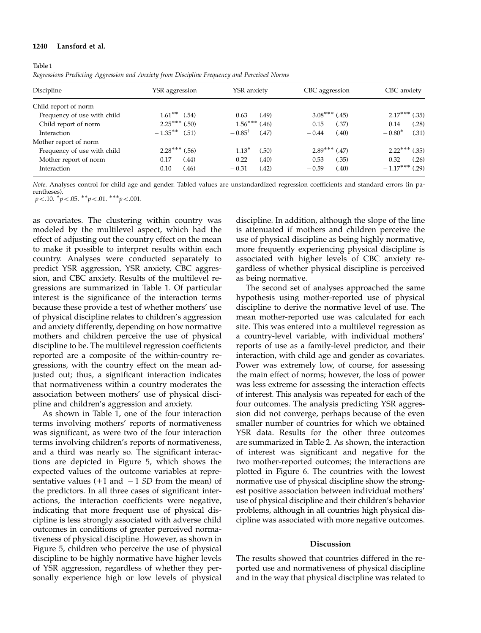## 1240 Lansford et al.

Table 1

| Regressions Predicting Aggression and Anxiety from Discipline Frequency and Perceived Norms |  |  |  |  |  |  |
|---------------------------------------------------------------------------------------------|--|--|--|--|--|--|
|                                                                                             |  |  |  |  |  |  |

| Discipline                  | YSR aggression      | YSR anxietv                | CBC aggression   | CBC anxiety        |  |
|-----------------------------|---------------------|----------------------------|------------------|--------------------|--|
| Child report of norm        |                     |                            |                  |                    |  |
| Frequency of use with child | $1.61***$<br>(.54)  | (.49)<br>0.63              | $3.08***$ (.45)  | $2.17***$<br>(.35) |  |
| Child report of norm        | $2.25***$ (.50)     | $1.56***$ (.46)            | 0.15<br>(.37)    | (.28)<br>0.14      |  |
| Interaction                 | $-1.35***$<br>(.51) | $-0.85^{\dagger}$<br>(.47) | $-0.44$<br>(.40) | $-0.80*$<br>(.31)  |  |
| Mother report of norm       |                     |                            |                  |                    |  |
| Frequency of use with child | $2.28***$ (.56)     | $1.13*$<br>(.50)           | $2.89***$ (.47)  | $2.22***$ (.35)    |  |
| Mother report of norm       | 0.17<br>(.44)       | 0.22<br>(.40)              | 0.53<br>(.35)    | (.26)<br>0.32      |  |
| Interaction                 | 0.10<br>(.46)       | (.42)<br>$-0.31$           | $-0.59$<br>(.40) | $-1.17***$ (.29)   |  |

Note. Analyses control for child age and gender. Tabled values are unstandardized regression coefficients and standard errors (in parentheses).

 $\frac{1}{p}$  p < .10.  $\frac{1}{p}$  < .05.  $\frac{1}{p}$  + p < .01.  $\frac{1}{p}$  + p < .001.

as covariates. The clustering within country was modeled by the multilevel aspect, which had the effect of adjusting out the country effect on the mean to make it possible to interpret results within each country. Analyses were conducted separately to predict YSR aggression, YSR anxiety, CBC aggression, and CBC anxiety. Results of the multilevel regressions are summarized in Table 1. Of particular interest is the significance of the interaction terms because these provide a test of whether mothers' use of physical discipline relates to children's aggression and anxiety differently, depending on how normative mothers and children perceive the use of physical discipline to be. The multilevel regression coefficients reported are a composite of the within-country regressions, with the country effect on the mean adjusted out; thus, a significant interaction indicates that normativeness within a country moderates the association between mothers' use of physical discipline and children's aggression and anxiety.

As shown in Table 1, one of the four interaction terms involving mothers' reports of normativeness was significant, as were two of the four interaction terms involving children's reports of normativeness, and a third was nearly so. The significant interactions are depicted in Figure 5, which shows the expected values of the outcome variables at representative values  $(+1 \text{ and } -1 \text{ SD from the mean})$  of the predictors. In all three cases of significant interactions, the interaction coefficients were negative, indicating that more frequent use of physical discipline is less strongly associated with adverse child outcomes in conditions of greater perceived normativeness of physical discipline. However, as shown in Figure 5, children who perceive the use of physical discipline to be highly normative have higher levels of YSR aggression, regardless of whether they personally experience high or low levels of physical discipline. In addition, although the slope of the line is attenuated if mothers and children perceive the use of physical discipline as being highly normative, more frequently experiencing physical discipline is associated with higher levels of CBC anxiety regardless of whether physical discipline is perceived as being normative.

The second set of analyses approached the same hypothesis using mother-reported use of physical discipline to derive the normative level of use. The mean mother-reported use was calculated for each site. This was entered into a multilevel regression as a country-level variable, with individual mothers' reports of use as a family-level predictor, and their interaction, with child age and gender as covariates. Power was extremely low, of course, for assessing the main effect of norms; however, the loss of power was less extreme for assessing the interaction effects of interest. This analysis was repeated for each of the four outcomes. The analysis predicting YSR aggression did not converge, perhaps because of the even smaller number of countries for which we obtained YSR data. Results for the other three outcomes are summarized in Table 2. As shown, the interaction of interest was significant and negative for the two mother-reported outcomes; the interactions are plotted in Figure 6. The countries with the lowest normative use of physical discipline show the strongest positive association between individual mothers' use of physical discipline and their children's behavior problems, although in all countries high physical discipline was associated with more negative outcomes.

#### Discussion

The results showed that countries differed in the reported use and normativeness of physical discipline and in the way that physical discipline was related to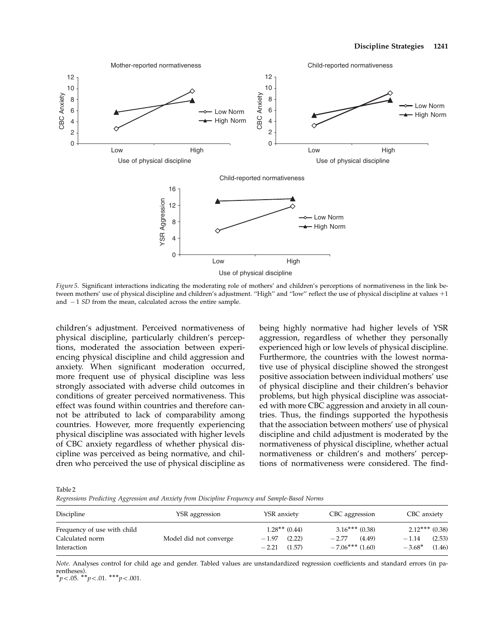

Figure 5. Significant interactions indicating the moderating role of mothers' and children's perceptions of normativeness in the link between mothers' use of physical discipline and children's adjustment. "High" and "low" reflect the use of physical discipline at values +1 and  $-1$  SD from the mean, calculated across the entire sample.

children's adjustment. Perceived normativeness of physical discipline, particularly children's perceptions, moderated the association between experiencing physical discipline and child aggression and anxiety. When significant moderation occurred, more frequent use of physical discipline was less strongly associated with adverse child outcomes in conditions of greater perceived normativeness. This effect was found within countries and therefore cannot be attributed to lack of comparability among countries. However, more frequently experiencing physical discipline was associated with higher levels of CBC anxiety regardless of whether physical discipline was perceived as being normative, and children who perceived the use of physical discipline as being highly normative had higher levels of YSR aggression, regardless of whether they personally experienced high or low levels of physical discipline. Furthermore, the countries with the lowest normative use of physical discipline showed the strongest positive association between individual mothers' use of physical discipline and their children's behavior problems, but high physical discipline was associated with more CBC aggression and anxiety in all countries. Thus, the findings supported the hypothesis that the association between mothers' use of physical discipline and child adjustment is moderated by the normativeness of physical discipline, whether actual normativeness or children's and mothers' perceptions of normativeness were considered. The find-

Table 2

Regressions Predicting Aggression and Anxiety from Discipline Frequency and Sample-Based Norms

| Discipline                                                    | YSR aggression         | YSR anxiety                                               | CBC aggression                                            | CBC anxiety                                                |  |
|---------------------------------------------------------------|------------------------|-----------------------------------------------------------|-----------------------------------------------------------|------------------------------------------------------------|--|
| Frequency of use with child<br>Calculated norm<br>Interaction | Model did not converge | $1.28***(0.44)$<br>(2.22)<br>$-1.97$<br>(1.57)<br>$-2.21$ | $3.16***(0.38)$<br>(4.49)<br>$-2.77$<br>$-7.06***$ (1.60) | $2.12***(0.38)$<br>(2.53)<br>$-1.14$<br>(1.46)<br>$-3.68*$ |  |

Note. Analyses control for child age and gender. Tabled values are unstandardized regression coefficients and standard errors (in parentheses).

 $^*p$  < .05.  $^*p$  < .01.  $^*p$  < .001.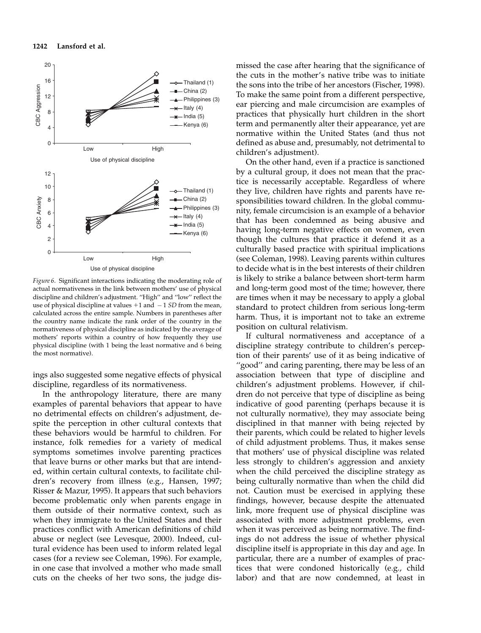

Figure 6. Significant interactions indicating the moderating role of actual normativeness in the link between mothers' use of physical discipline and children's adjustment. ''High'' and ''low'' reflect the use of physical discipline at values  $+1$  and  $-1$  SD from the mean, calculated across the entire sample. Numbers in parentheses after the country name indicate the rank order of the country in the normativeness of physical discipline as indicated by the average of mothers' reports within a country of how frequently they use physical discipline (with 1 being the least normative and 6 being the most normative).

ings also suggested some negative effects of physical discipline, regardless of its normativeness.

In the anthropology literature, there are many examples of parental behaviors that appear to have no detrimental effects on children's adjustment, despite the perception in other cultural contexts that these behaviors would be harmful to children. For instance, folk remedies for a variety of medical symptoms sometimes involve parenting practices that leave burns or other marks but that are intended, within certain cultural contexts, to facilitate children's recovery from illness (e.g., Hansen, 1997; Risser & Mazur, 1995). It appears that such behaviors become problematic only when parents engage in them outside of their normative context, such as when they immigrate to the United States and their practices conflict with American definitions of child abuse or neglect (see Levesque, 2000). Indeed, cultural evidence has been used to inform related legal cases (for a review see Coleman, 1996). For example, in one case that involved a mother who made small cuts on the cheeks of her two sons, the judge dismissed the case after hearing that the significance of the cuts in the mother's native tribe was to initiate the sons into the tribe of her ancestors (Fischer, 1998). To make the same point from a different perspective, ear piercing and male circumcision are examples of practices that physically hurt children in the short term and permanently alter their appearance, yet are normative within the United States (and thus not defined as abuse and, presumably, not detrimental to children's adjustment).

On the other hand, even if a practice is sanctioned by a cultural group, it does not mean that the practice is necessarily acceptable. Regardless of where they live, children have rights and parents have responsibilities toward children. In the global community, female circumcision is an example of a behavior that has been condemned as being abusive and having long-term negative effects on women, even though the cultures that practice it defend it as a culturally based practice with spiritual implications (see Coleman, 1998). Leaving parents within cultures to decide what is in the best interests of their children is likely to strike a balance between short-term harm and long-term good most of the time; however, there are times when it may be necessary to apply a global standard to protect children from serious long-term harm. Thus, it is important not to take an extreme position on cultural relativism.

If cultural normativeness and acceptance of a discipline strategy contribute to children's perception of their parents' use of it as being indicative of "good" and caring parenting, there may be less of an association between that type of discipline and children's adjustment problems. However, if children do not perceive that type of discipline as being indicative of good parenting (perhaps because it is not culturally normative), they may associate being disciplined in that manner with being rejected by their parents, which could be related to higher levels of child adjustment problems. Thus, it makes sense that mothers' use of physical discipline was related less strongly to children's aggression and anxiety when the child perceived the discipline strategy as being culturally normative than when the child did not. Caution must be exercised in applying these findings, however, because despite the attenuated link, more frequent use of physical discipline was associated with more adjustment problems, even when it was perceived as being normative. The findings do not address the issue of whether physical discipline itself is appropriate in this day and age. In particular, there are a number of examples of practices that were condoned historically (e.g., child labor) and that are now condemned, at least in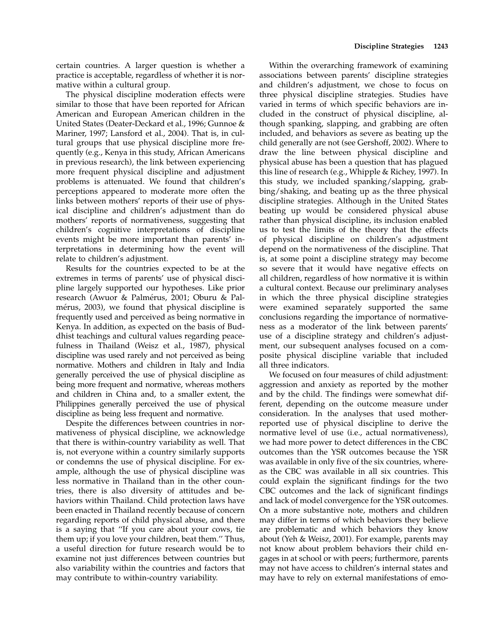certain countries. A larger question is whether a practice is acceptable, regardless of whether it is normative within a cultural group.

The physical discipline moderation effects were similar to those that have been reported for African American and European American children in the United States (Deater-Deckard et al., 1996; Gunnoe & Mariner, 1997; Lansford et al., 2004). That is, in cultural groups that use physical discipline more frequently (e.g., Kenya in this study, African Americans in previous research), the link between experiencing more frequent physical discipline and adjustment problems is attenuated. We found that children's perceptions appeared to moderate more often the links between mothers' reports of their use of physical discipline and children's adjustment than do mothers' reports of normativeness, suggesting that children's cognitive interpretations of discipline events might be more important than parents' interpretations in determining how the event will relate to children's adjustment.

Results for the countries expected to be at the extremes in terms of parents' use of physical discipline largely supported our hypotheses. Like prior research (Awuor & Palmérus, 2001; Oburu & Palmérus, 2003), we found that physical discipline is frequently used and perceived as being normative in Kenya. In addition, as expected on the basis of Buddhist teachings and cultural values regarding peacefulness in Thailand (Weisz et al., 1987), physical discipline was used rarely and not perceived as being normative. Mothers and children in Italy and India generally perceived the use of physical discipline as being more frequent and normative, whereas mothers and children in China and, to a smaller extent, the Philippines generally perceived the use of physical discipline as being less frequent and normative.

Despite the differences between countries in normativeness of physical discipline, we acknowledge that there is within-country variability as well. That is, not everyone within a country similarly supports or condemns the use of physical discipline. For example, although the use of physical discipline was less normative in Thailand than in the other countries, there is also diversity of attitudes and behaviors within Thailand. Child protection laws have been enacted in Thailand recently because of concern regarding reports of child physical abuse, and there is a saying that ''If you care about your cows, tie them up; if you love your children, beat them.'' Thus, a useful direction for future research would be to examine not just differences between countries but also variability within the countries and factors that may contribute to within-country variability.

Within the overarching framework of examining associations between parents' discipline strategies and children's adjustment, we chose to focus on three physical discipline strategies. Studies have varied in terms of which specific behaviors are included in the construct of physical discipline, although spanking, slapping, and grabbing are often included, and behaviors as severe as beating up the child generally are not (see Gershoff, 2002). Where to draw the line between physical discipline and physical abuse has been a question that has plagued this line of research (e.g., Whipple & Richey, 1997). In this study, we included spanking/slapping, grabbing/shaking, and beating up as the three physical discipline strategies. Although in the United States beating up would be considered physical abuse rather than physical discipline, its inclusion enabled us to test the limits of the theory that the effects of physical discipline on children's adjustment depend on the normativeness of the discipline. That is, at some point a discipline strategy may become so severe that it would have negative effects on all children, regardless of how normative it is within a cultural context. Because our preliminary analyses in which the three physical discipline strategies were examined separately supported the same conclusions regarding the importance of normativeness as a moderator of the link between parents' use of a discipline strategy and children's adjustment, our subsequent analyses focused on a composite physical discipline variable that included all three indicators.

We focused on four measures of child adjustment: aggression and anxiety as reported by the mother and by the child. The findings were somewhat different, depending on the outcome measure under consideration. In the analyses that used motherreported use of physical discipline to derive the normative level of use (i.e., actual normativeness), we had more power to detect differences in the CBC outcomes than the YSR outcomes because the YSR was available in only five of the six countries, whereas the CBC was available in all six countries. This could explain the significant findings for the two CBC outcomes and the lack of significant findings and lack of model convergence for the YSR outcomes. On a more substantive note, mothers and children may differ in terms of which behaviors they believe are problematic and which behaviors they know about (Yeh & Weisz, 2001). For example, parents may not know about problem behaviors their child engages in at school or with peers; furthermore, parents may not have access to children's internal states and may have to rely on external manifestations of emo-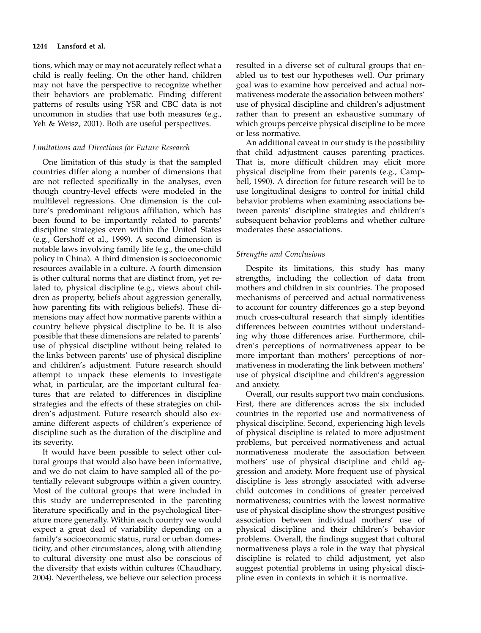#### 1244 Lansford et al.

tions, which may or may not accurately reflect what a child is really feeling. On the other hand, children may not have the perspective to recognize whether their behaviors are problematic. Finding different patterns of results using YSR and CBC data is not uncommon in studies that use both measures (e.g., Yeh & Weisz, 2001). Both are useful perspectives.

#### Limitations and Directions for Future Research

One limitation of this study is that the sampled countries differ along a number of dimensions that are not reflected specifically in the analyses, even though country-level effects were modeled in the multilevel regressions. One dimension is the culture's predominant religious affiliation, which has been found to be importantly related to parents' discipline strategies even within the United States (e.g., Gershoff et al., 1999). A second dimension is notable laws involving family life (e.g., the one-child policy in China). A third dimension is socioeconomic resources available in a culture. A fourth dimension is other cultural norms that are distinct from, yet related to, physical discipline (e.g., views about children as property, beliefs about aggression generally, how parenting fits with religious beliefs). These dimensions may affect how normative parents within a country believe physical discipline to be. It is also possible that these dimensions are related to parents' use of physical discipline without being related to the links between parents' use of physical discipline and children's adjustment. Future research should attempt to unpack these elements to investigate what, in particular, are the important cultural features that are related to differences in discipline strategies and the effects of these strategies on children's adjustment. Future research should also examine different aspects of children's experience of discipline such as the duration of the discipline and its severity.

It would have been possible to select other cultural groups that would also have been informative, and we do not claim to have sampled all of the potentially relevant subgroups within a given country. Most of the cultural groups that were included in this study are underrepresented in the parenting literature specifically and in the psychological literature more generally. Within each country we would expect a great deal of variability depending on a family's socioeconomic status, rural or urban domesticity, and other circumstances; along with attending to cultural diversity one must also be conscious of the diversity that exists within cultures (Chaudhary, 2004). Nevertheless, we believe our selection process

resulted in a diverse set of cultural groups that enabled us to test our hypotheses well. Our primary goal was to examine how perceived and actual normativeness moderate the association between mothers' use of physical discipline and children's adjustment rather than to present an exhaustive summary of which groups perceive physical discipline to be more or less normative.

An additional caveat in our study is the possibility that child adjustment causes parenting practices. That is, more difficult children may elicit more physical discipline from their parents (e.g., Campbell, 1990). A direction for future research will be to use longitudinal designs to control for initial child behavior problems when examining associations between parents' discipline strategies and children's subsequent behavior problems and whether culture moderates these associations.

#### Strengths and Conclusions

Despite its limitations, this study has many strengths, including the collection of data from mothers and children in six countries. The proposed mechanisms of perceived and actual normativeness to account for country differences go a step beyond much cross-cultural research that simply identifies differences between countries without understanding why those differences arise. Furthermore, children's perceptions of normativeness appear to be more important than mothers' perceptions of normativeness in moderating the link between mothers' use of physical discipline and children's aggression and anxiety.

Overall, our results support two main conclusions. First, there are differences across the six included countries in the reported use and normativeness of physical discipline. Second, experiencing high levels of physical discipline is related to more adjustment problems, but perceived normativeness and actual normativeness moderate the association between mothers' use of physical discipline and child aggression and anxiety. More frequent use of physical discipline is less strongly associated with adverse child outcomes in conditions of greater perceived normativeness; countries with the lowest normative use of physical discipline show the strongest positive association between individual mothers' use of physical discipline and their children's behavior problems. Overall, the findings suggest that cultural normativeness plays a role in the way that physical discipline is related to child adjustment, yet also suggest potential problems in using physical discipline even in contexts in which it is normative.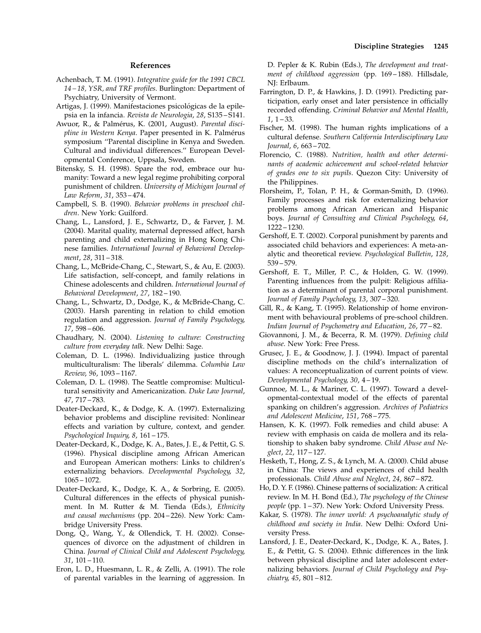## References

- Achenbach, T. M. (1991). Integrative guide for the 1991 CBCL 14 – 18, YSR, and TRF profiles. Burlington: Department of Psychiatry, University of Vermont.
- Artigas, J. (1999). Manifestaciones psicológicas de la epilepsia en la infancia. Revista de Neurologia, 28, S135 – S141.
- Awuor, R., & Palmérus, K. (2001, August). Parental discipline in Western Kenya. Paper presented in K. Palmérus symposium ''Parental discipline in Kenya and Sweden. Cultural and individual differences.'' European Developmental Conference, Uppsala, Sweden.
- Bitensky, S. H. (1998). Spare the rod, embrace our humanity: Toward a new legal regime prohibiting corporal punishment of children. University of Michigan Journal of Law Reform, 31, 353 – 474.
- Campbell, S. B. (1990). Behavior problems in preschool children. New York: Guilford.
- Chang, L., Lansford, J. E., Schwartz, D., & Farver, J. M. (2004). Marital quality, maternal depressed affect, harsh parenting and child externalizing in Hong Kong Chinese families. International Journal of Behavioral Development, 28, 311 – 318.
- Chang, L., McBride-Chang, C., Stewart, S., & Au, E. (2003). Life satisfaction, self-concept, and family relations in Chinese adolescents and children. International Journal of Behavioral Development, 27, 182 – 190.
- Chang, L., Schwartz, D., Dodge, K., & McBride-Chang, C. (2003). Harsh parenting in relation to child emotion regulation and aggression. Journal of Family Psychology, 17, 598 – 606.
- Chaudhary, N. (2004). Listening to culture: Constructing culture from everyday talk. New Delhi: Sage.
- Coleman, D. L. (1996). Individualizing justice through multiculturalism: The liberals' dilemma. Columbia Law Review, 96, 1093 – 1167.
- Coleman, D. L. (1998). The Seattle compromise: Multicultural sensitivity and Americanization. Duke Law Journal, 47, 717 – 783.
- Deater-Deckard, K., & Dodge, K. A. (1997). Externalizing behavior problems and discipline revisited: Nonlinear effects and variation by culture, context, and gender. Psychological Inquiry, 8, 161-175.
- Deater-Deckard, K., Dodge, K. A., Bates, J. E., & Pettit, G. S. (1996). Physical discipline among African American and European American mothers: Links to children's externalizing behaviors. Developmental Psychology, 32, 1065 – 1072.
- Deater-Deckard, K., Dodge, K. A., & Sorbring, E. (2005). Cultural differences in the effects of physical punishment. In M. Rutter & M. Tienda (Eds.), Ethnicity and causal mechanisms (pp. 204 – 226). New York: Cambridge University Press.
- Dong, Q., Wang, Y., & Ollendick, T. H. (2002). Consequences of divorce on the adjustment of children in China. Journal of Clinical Child and Adolescent Psychology, 31, 101 – 110.
- Eron, L. D., Huesmann, L. R., & Zelli, A. (1991). The role of parental variables in the learning of aggression. In

D. Pepler & K. Rubin (Eds.), The development and treatment of childhood aggression (pp. 169-188). Hillsdale, NJ: Erlbaum.

- Farrington, D. P., & Hawkins, J. D. (1991). Predicting participation, early onset and later persistence in officially recorded offending. Criminal Behavior and Mental Health,  $1, 1 - 33.$
- Fischer, M. (1998). The human rights implications of a cultural defense. Southern California Interdisciplinary Law Journal, 6, 663 – 702.
- Florencio, C. (1988). Nutrition, health and other determinants of academic achievement and school-related behavior of grades one to six pupils. Quezon City: University of the Philippines.
- Florsheim, P., Tolan, P. H., & Gorman-Smith, D. (1996). Family processes and risk for externalizing behavior problems among African American and Hispanic boys. Journal of Consulting and Clinical Psychology, 64, 1222 – 1230.
- Gershoff, E. T. (2002). Corporal punishment by parents and associated child behaviors and experiences: A meta-analytic and theoretical review. Psychological Bulletin, 128, 539 – 579.
- Gershoff, E. T., Miller, P. C., & Holden, G. W. (1999). Parenting influences from the pulpit: Religious affiliation as a determinant of parental corporal punishment. Journal of Family Psychology, 13, 307 – 320.
- Gill, R., & Kang, T. (1995). Relationship of home environment with behavioural problems of pre-school children. Indian Journal of Psychometry and Education, 26, 77 – 82.
- Giovannoni, J. M., & Becerra, R. M. (1979). Defining child abuse. New York: Free Press.
- Grusec, J. E., & Goodnow, J. J. (1994). Impact of parental discipline methods on the child's internalization of values: A reconceptualization of current points of view. Developmental Psychology, 30, 4 – 19.
- Gunnoe, M. L., & Mariner, C. L. (1997). Toward a developmental-contextual model of the effects of parental spanking on children's aggression. Archives of Pediatrics and Adolescent Medicine, 151, 768 – 775.
- Hansen, K. K. (1997). Folk remedies and child abuse: A review with emphasis on caida de mollera and its relationship to shaken baby syndrome. Child Abuse and Neglect, 22, 117 – 127.
- Hesketh, T., Hong, Z. S., & Lynch, M. A. (2000). Child abuse in China: The views and experiences of child health professionals. Child Abuse and Neglect, 24, 867 – 872.
- Ho, D. Y. F. (1986). Chinese patterns of socialization: A critical review. In M. H. Bond (Ed.), The psychology of the Chinese people (pp. 1 – 37). New York: Oxford University Press.
- Kakar, S. (1978). The inner world: A psychoanalytic study of childhood and society in India. New Delhi: Oxford University Press.
- Lansford, J. E., Deater-Deckard, K., Dodge, K. A., Bates, J. E., & Pettit, G. S. (2004). Ethnic differences in the link between physical discipline and later adolescent externalizing behaviors. Journal of Child Psychology and Psychiatry, 45, 801 – 812.